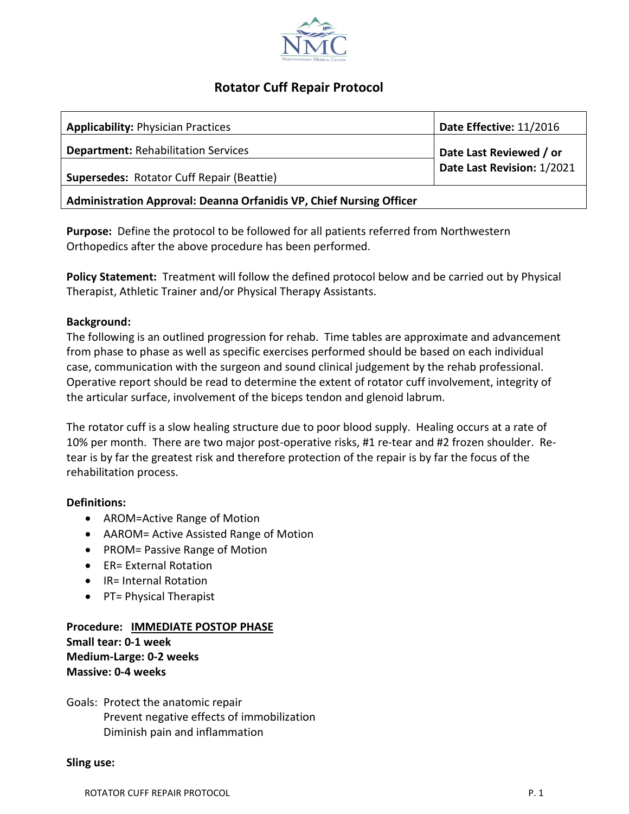

# **Rotator Cuff Repair Protocol**

| <b>Applicability: Physician Practices</b>                           | Date Effective: 11/2016    |
|---------------------------------------------------------------------|----------------------------|
| <b>Department: Rehabilitation Services</b>                          | Date Last Reviewed / or    |
| <b>Supersedes: Rotator Cuff Repair (Beattie)</b>                    | Date Last Revision: 1/2021 |
| Administration Approval: Deanna Orfanidis VP, Chief Nursing Officer |                            |

**Purpose:** Define the protocol to be followed for all patients referred from Northwestern Orthopedics after the above procedure has been performed.

**Policy Statement:** Treatment will follow the defined protocol below and be carried out by Physical Therapist, Athletic Trainer and/or Physical Therapy Assistants.

## **Background:**

The following is an outlined progression for rehab. Time tables are approximate and advancement from phase to phase as well as specific exercises performed should be based on each individual case, communication with the surgeon and sound clinical judgement by the rehab professional. Operative report should be read to determine the extent of rotator cuff involvement, integrity of the articular surface, involvement of the biceps tendon and glenoid labrum.

The rotator cuff is a slow healing structure due to poor blood supply. Healing occurs at a rate of 10% per month. There are two major post-operative risks, #1 re-tear and #2 frozen shoulder. Retear is by far the greatest risk and therefore protection of the repair is by far the focus of the rehabilitation process.

## **Definitions:**

- AROM=Active Range of Motion
- AAROM= Active Assisted Range of Motion
- PROM= Passive Range of Motion
- ER= External Rotation
- IR= Internal Rotation
- PT= Physical Therapist

# **Procedure: IMMEDIATE POSTOP PHASE Small tear: 0-1 week Medium-Large: 0-2 weeks Massive: 0-4 weeks**

Goals: Protect the anatomic repair Prevent negative effects of immobilization Diminish pain and inflammation

#### **Sling use:**

ROTATOR CUFF REPAIR PROTOCOL **P. 1** and 20 and 20 and 20 and 20 and 20 and 20 and 20 and 20 and 20 and 20 and 20 and 20 and 20 and 20 and 20 and 20 and 20 and 20 and 20 and 20 and 20 and 20 and 20 and 20 and 20 and 20 and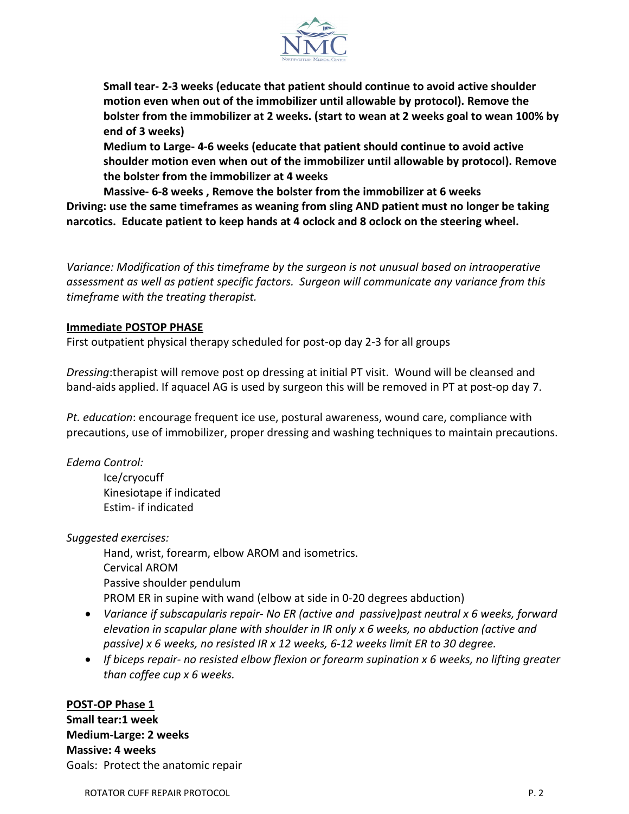

**Small tear- 2-3 weeks (educate that patient should continue to avoid active shoulder motion even when out of the immobilizer until allowable by protocol). Remove the bolster from the immobilizer at 2 weeks. (start to wean at 2 weeks goal to wean 100% by end of 3 weeks)**

**Medium to Large- 4-6 weeks (educate that patient should continue to avoid active shoulder motion even when out of the immobilizer until allowable by protocol). Remove the bolster from the immobilizer at 4 weeks**

**Massive- 6-8 weeks , Remove the bolster from the immobilizer at 6 weeks Driving: use the same timeframes as weaning from sling AND patient must no longer be taking narcotics. Educate patient to keep hands at 4 oclock and 8 oclock on the steering wheel.**

*Variance: Modification of this timeframe by the surgeon is not unusual based on intraoperative assessment as well as patient specific factors. Surgeon will communicate any variance from this timeframe with the treating therapist.*

## **Immediate POSTOP PHASE**

First outpatient physical therapy scheduled for post-op day 2-3 for all groups

*Dressing*:therapist will remove post op dressing at initial PT visit. Wound will be cleansed and band-aids applied. If aquacel AG is used by surgeon this will be removed in PT at post-op day 7.

*Pt. education*: encourage frequent ice use, postural awareness, wound care, compliance with precautions, use of immobilizer, proper dressing and washing techniques to maintain precautions.

*Edema Control:*

Ice/cryocuff Kinesiotape if indicated Estim- if indicated

*Suggested exercises:*

Hand, wrist, forearm, elbow AROM and isometrics. Cervical AROM Passive shoulder pendulum PROM ER in supine with wand (elbow at side in 0-20 degrees abduction)

- *Variance if subscapularis repair- No ER (active and passive)past neutral x 6 weeks, forward elevation in scapular plane with shoulder in IR only x 6 weeks, no abduction (active and passive) x 6 weeks, no resisted IR x 12 weeks, 6-12 weeks limit ER to 30 degree.*
- *If biceps repair- no resisted elbow flexion or forearm supination x 6 weeks, no lifting greater than coffee cup x 6 weeks.*

## **POST-OP Phase 1**

**Small tear:1 week Medium-Large: 2 weeks Massive: 4 weeks** Goals: Protect the anatomic repair

ROTATOR CUFF REPAIR PROTOCOL **P. 2** and 20 and 20 and 20 and 20 and 20 and 20 and 20 and 20 and 20 and 20 and 20 and 20 and 20 and 20 and 20 and 20 and 20 and 20 and 20 and 20 and 20 and 20 and 20 and 20 and 20 and 20 and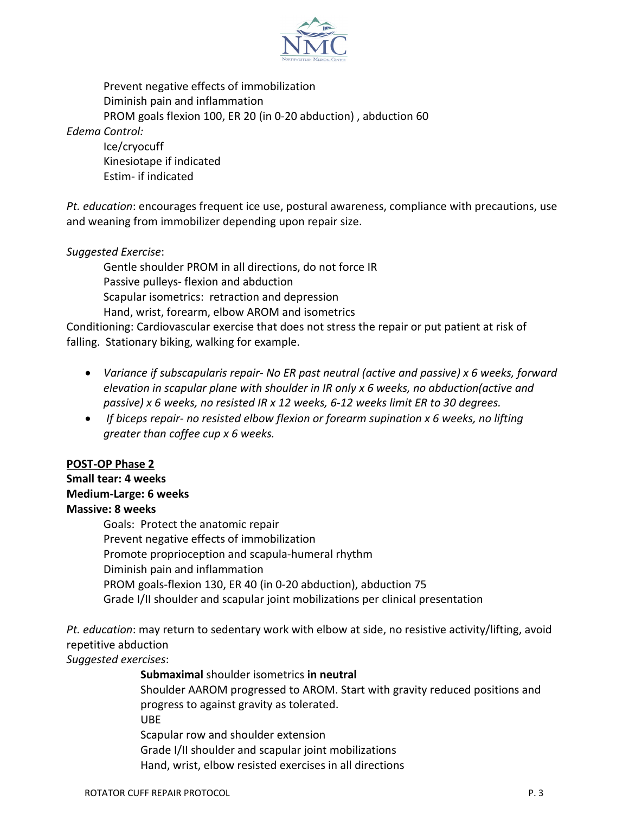

Prevent negative effects of immobilization Diminish pain and inflammation PROM goals flexion 100, ER 20 (in 0-20 abduction) , abduction 60

*Edema Control:*

Ice/cryocuff Kinesiotape if indicated Estim- if indicated

*Pt. education*: encourages frequent ice use, postural awareness, compliance with precautions, use and weaning from immobilizer depending upon repair size.

## *Suggested Exercise*:

Gentle shoulder PROM in all directions, do not force IR Passive pulleys- flexion and abduction Scapular isometrics: retraction and depression Hand, wrist, forearm, elbow AROM and isometrics

Conditioning: Cardiovascular exercise that does not stress the repair or put patient at risk of falling. Stationary biking, walking for example.

- *Variance if subscapularis repair- No ER past neutral (active and passive) x 6 weeks, forward elevation in scapular plane with shoulder in IR only x 6 weeks, no abduction(active and passive) x 6 weeks, no resisted IR x 12 weeks, 6-12 weeks limit ER to 30 degrees.*
- *If biceps repair- no resisted elbow flexion or forearm supination x 6 weeks, no lifting greater than coffee cup x 6 weeks.*

## **POST-OP Phase 2**

# **Small tear: 4 weeks**

# **Medium-Large: 6 weeks**

# **Massive: 8 weeks**

Goals: Protect the anatomic repair Prevent negative effects of immobilization Promote proprioception and scapula-humeral rhythm Diminish pain and inflammation PROM goals-flexion 130, ER 40 (in 0-20 abduction), abduction 75 Grade I/II shoulder and scapular joint mobilizations per clinical presentation

*Pt. education*: may return to sedentary work with elbow at side, no resistive activity/lifting, avoid repetitive abduction

*Suggested exercises*:

**Submaximal** shoulder isometrics **in neutral**

Shoulder AAROM progressed to AROM. Start with gravity reduced positions and progress to against gravity as tolerated.

UBE

Scapular row and shoulder extension

Grade I/II shoulder and scapular joint mobilizations

Hand, wrist, elbow resisted exercises in all directions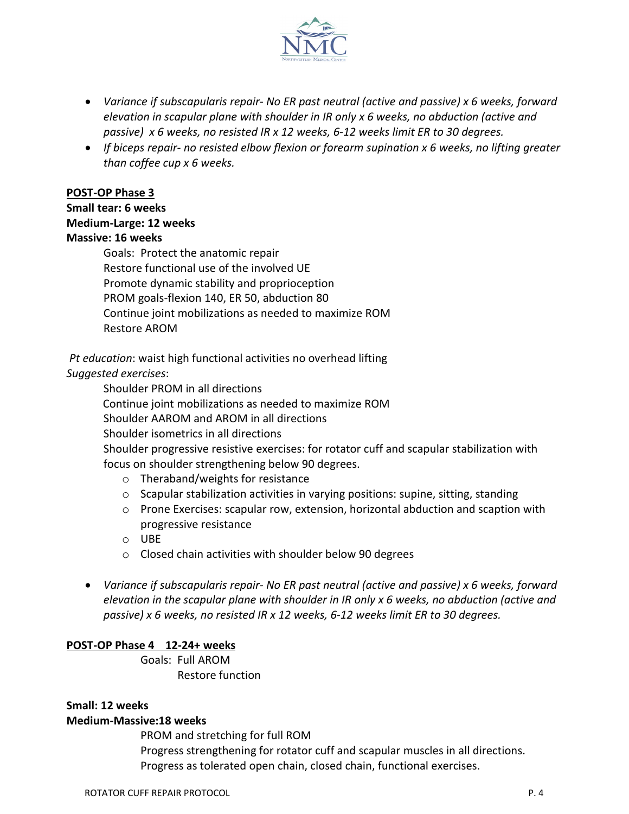

- *Variance if subscapularis repair- No ER past neutral (active and passive) x 6 weeks, forward elevation in scapular plane with shoulder in IR only x 6 weeks, no abduction (active and passive) x 6 weeks, no resisted IR x 12 weeks, 6-12 weeks limit ER to 30 degrees.*
- *If biceps repair- no resisted elbow flexion or forearm supination x 6 weeks, no lifting greater than coffee cup x 6 weeks.*

## **POST-OP Phase 3**

## **Small tear: 6 weeks**

#### **Medium-Large: 12 weeks**

## **Massive: 16 weeks**

Goals: Protect the anatomic repair Restore functional use of the involved UE Promote dynamic stability and proprioception PROM goals-flexion 140, ER 50, abduction 80 Continue joint mobilizations as needed to maximize ROM Restore AROM

*Pt education*: waist high functional activities no overhead lifting *Suggested exercises*:

Shoulder PROM in all directions

Continue joint mobilizations as needed to maximize ROM

Shoulder AAROM and AROM in all directions

Shoulder isometrics in all directions

Shoulder progressive resistive exercises: for rotator cuff and scapular stabilization with focus on shoulder strengthening below 90 degrees.

- o Theraband/weights for resistance
- $\circ$  Scapular stabilization activities in varying positions: supine, sitting, standing
- o Prone Exercises: scapular row, extension, horizontal abduction and scaption with progressive resistance
- o UBE
- o Closed chain activities with shoulder below 90 degrees
- *Variance if subscapularis repair- No ER past neutral (active and passive) x 6 weeks, forward elevation in the scapular plane with shoulder in IR only x 6 weeks, no abduction (active and passive) x 6 weeks, no resisted IR x 12 weeks, 6-12 weeks limit ER to 30 degrees.*

## **POST-OP Phase 4 12-24+ weeks**

Goals: Full AROM Restore function

## **Small: 12 weeks**

## **Medium-Massive:18 weeks**

PROM and stretching for full ROM Progress strengthening for rotator cuff and scapular muscles in all directions. Progress as tolerated open chain, closed chain, functional exercises.